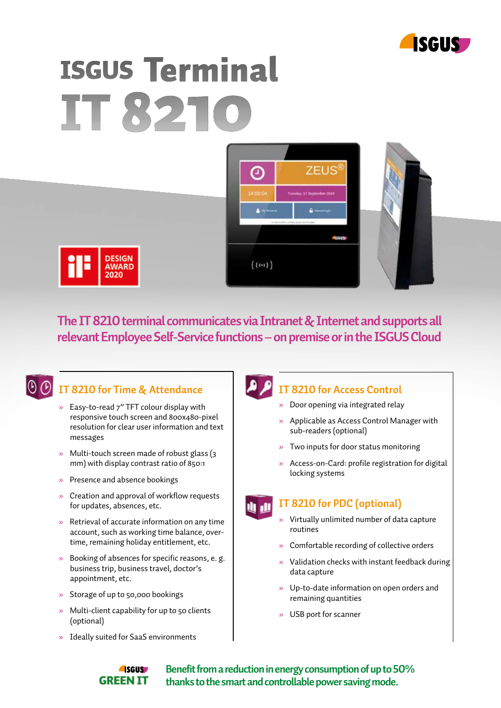

# **ISGUS Terminal** IT 821





**The IT 8210 terminal communicates via Intranet & Internet and supports all relevant Employee Self-Service functions – on premise or in the ISGUS Cloud**



## **IT 8210 for Time & Attendance**

- » Easy-to-read 7" TFT colour display with responsive touch screen and 800x480-pixel resolution for clear user information and text messages
- » Multi-touch screen made of robust glass (3 mm) with display contrast ratio of 850:1
- » Presence and absence bookings
- » Creation and approval of workflow requests for updates, absences, etc.
- » Retrieval of accurate information on any time account, such as working time balance, over time, remaining holiday entitlement, etc.
- » Booking of absences for specific reasons, e. g. business trip, business travel, doctor's appointment, etc.
- » Storage of up to 50,000 bookings
- » Multi-client capability for up to 50 clients (optional)
- » Ideally suited for SaaS environments

### **IT 8210 for Access Control**

- » Door opening via integrated relay
- » Applicable as Access Control Manager with sub-readers (optional)
- » Two inputs for door status monitoring
- » Access-on-Card: profile registration for digital locking systems

### **IT 8210 for PDC (optional)**

- » Virtually unlimited number of data capture routines
- » Comfortable recording of collective orders
- » Validation checks with instant feedback during data capture
- » Up-to-date information on open orders and remaining quantities
- » USB port for scanner



**Benefit from a reduction in energy consumption of up to 50% thanks to the smart and controllable power saving mode.**